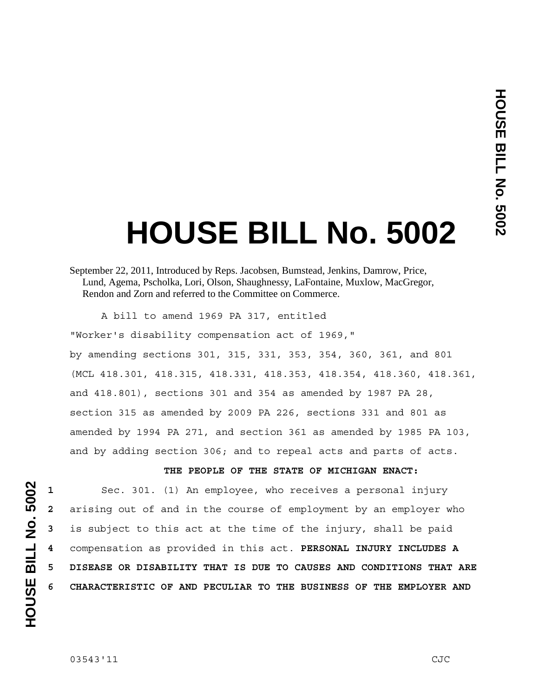# **HOUSE BILL No. 5002**

A bill to amend 1969 PA 317, entitled

"Worker's disability compensation act of 1969,"

by amending sections 301, 315, 331, 353, 354, 360, 361, and 801 (MCL 418.301, 418.315, 418.331, 418.353, 418.354, 418.360, 418.361, and 418.801), sections 301 and 354 as amended by 1987 PA 28, section 315 as amended by 2009 PA 226, sections 331 and 801 as amended by 1994 PA 271, and section 361 as amended by 1985 PA 103, and by adding section 306; and to repeal acts and parts of acts.

**THE PEOPLE OF THE STATE OF MICHIGAN ENACT:** 

Sec. 301. (1) An employee, who receives a personal injury arising out of and in the course of employment by an employer who is subject to this act at the time of the injury, shall be paid compensation as provided in this act. **PERSONAL INJURY INCLUDES A 5 DISEASE OR DISABILITY THAT IS DUE TO CAUSES AND CONDITIONS THAT ARE 6 CHARACTERISTIC OF AND PECULIAR TO THE BUSINESS OF THE EMPLOYER AND** 

September 22, 2011, Introduced by Reps. Jacobsen, Bumstead, Jenkins, Damrow, Price, Lund, Agema, Pscholka, Lori, Olson, Shaughnessy, LaFontaine, Muxlow, MacGregor, Rendon and Zorn and referred to the Committee on Commerce.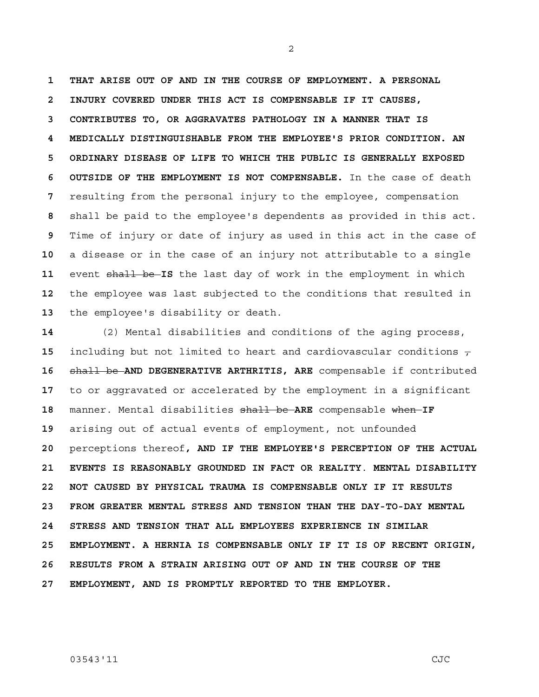**1 THAT ARISE OUT OF AND IN THE COURSE OF EMPLOYMENT. A PERSONAL 2 INJURY COVERED UNDER THIS ACT IS COMPENSABLE IF IT CAUSES, 3 CONTRIBUTES TO, OR AGGRAVATES PATHOLOGY IN A MANNER THAT IS 4 MEDICALLY DISTINGUISHABLE FROM THE EMPLOYEE'S PRIOR CONDITION. AN 5 ORDINARY DISEASE OF LIFE TO WHICH THE PUBLIC IS GENERALLY EXPOSED 6 OUTSIDE OF THE EMPLOYMENT IS NOT COMPENSABLE.** In the case of death **7** resulting from the personal injury to the employee, compensation **8** shall be paid to the employee's dependents as provided in this act. **9** Time of injury or date of injury as used in this act in the case of **10** a disease or in the case of an injury not attributable to a single 11 event shall be IS the last day of work in the employment in which **12** the employee was last subjected to the conditions that resulted in **13** the employee's disability or death.

2

**14** (2) Mental disabilities and conditions of the aging process, **15** including but not limited to heart and cardiovascular conditions  $\tau$ **16** shall be **AND DEGENERATIVE ARTHRITIS, ARE** compensable if contributed **17** to or aggravated or accelerated by the employment in a significant **18** manner. Mental disabilities shall be **ARE** compensable when **IF 19** arising out of actual events of employment, not unfounded **20** perceptions thereof**, AND IF THE EMPLOYEE'S PERCEPTION OF THE ACTUAL 21 EVENTS IS REASONABLY GROUNDED IN FACT OR REALITY**. **MENTAL DISABILITY 22 NOT CAUSED BY PHYSICAL TRAUMA IS COMPENSABLE ONLY IF IT RESULTS 23 FROM GREATER MENTAL STRESS AND TENSION THAN THE DAY-TO-DAY MENTAL 24 STRESS AND TENSION THAT ALL EMPLOYEES EXPERIENCE IN SIMILAR 25 EMPLOYMENT. A HERNIA IS COMPENSABLE ONLY IF IT IS OF RECENT ORIGIN, 26 RESULTS FROM A STRAIN ARISING OUT OF AND IN THE COURSE OF THE 27 EMPLOYMENT, AND IS PROMPTLY REPORTED TO THE EMPLOYER.**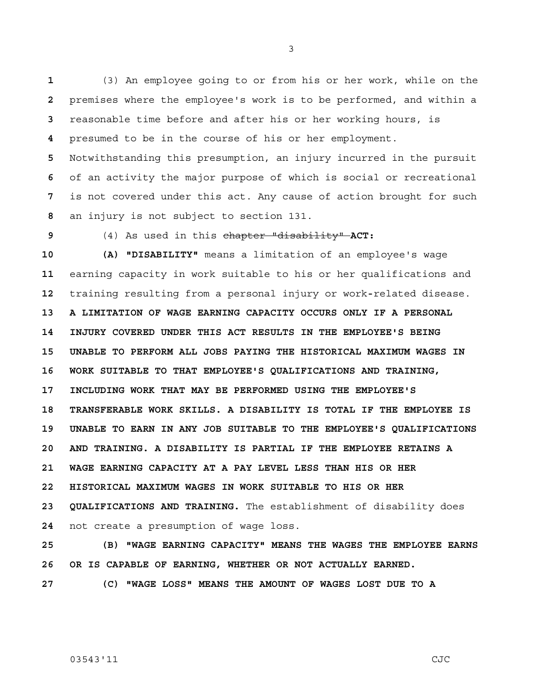(3) An employee going to or from his or her work, while on the premises where the employee's work is to be performed, and within a reasonable time before and after his or her working hours, is presumed to be in the course of his or her employment.

Notwithstanding this presumption, an injury incurred in the pursuit of an activity the major purpose of which is social or recreational is not covered under this act. Any cause of action brought for such an injury is not subject to section 131.

**9** (4) As used in this chapter "disability" **ACT:** 

**10 (A) "DISABILITY"** means a limitation of an employee's wage **11** earning capacity in work suitable to his or her qualifications and **12** training resulting from a personal injury or work**-**related disease. **13 A LIMITATION OF WAGE EARNING CAPACITY OCCURS ONLY IF A PERSONAL 14 INJURY COVERED UNDER THIS ACT RESULTS IN THE EMPLOYEE'S BEING 15 UNABLE TO PERFORM ALL JOBS PAYING THE HISTORICAL MAXIMUM WAGES IN 16 WORK SUITABLE TO THAT EMPLOYEE'S QUALIFICATIONS AND TRAINING, 17 INCLUDING WORK THAT MAY BE PERFORMED USING THE EMPLOYEE'S 18 TRANSFERABLE WORK SKILLS. A DISABILITY IS TOTAL IF THE EMPLOYEE IS 19 UNABLE TO EARN IN ANY JOB SUITABLE TO THE EMPLOYEE'S QUALIFICATIONS 20 AND TRAINING. A DISABILITY IS PARTIAL IF THE EMPLOYEE RETAINS A 21 WAGE EARNING CAPACITY AT A PAY LEVEL LESS THAN HIS OR HER 22 HISTORICAL MAXIMUM WAGES IN WORK SUITABLE TO HIS OR HER 23 QUALIFICATIONS AND TRAINING.** The establishment of disability does **24** not create a presumption of wage loss.

**25 (B) "WAGE EARNING CAPACITY" MEANS THE WAGES THE EMPLOYEE EARNS 26 OR IS CAPABLE OF EARNING, WHETHER OR NOT ACTUALLY EARNED.** 

**27 (C) "WAGE LOSS" MEANS THE AMOUNT OF WAGES LOST DUE TO A** 

03543'11 CJC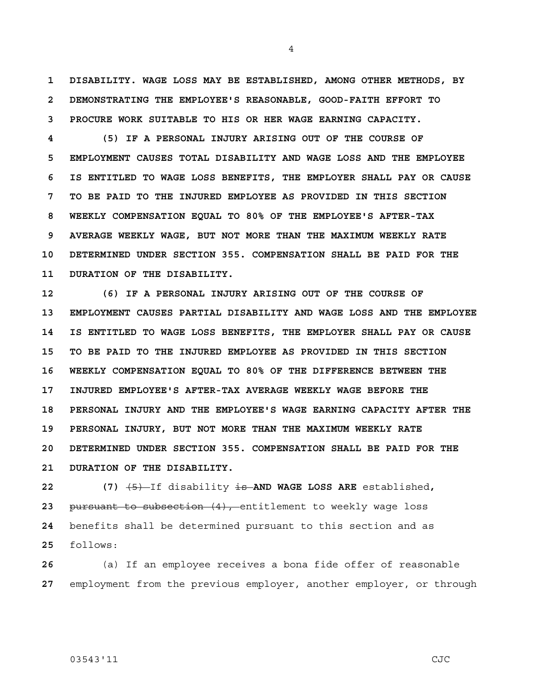**1 DISABILITY. WAGE LOSS MAY BE ESTABLISHED, AMONG OTHER METHODS, BY 2 DEMONSTRATING THE EMPLOYEE'S REASONABLE, GOOD-FAITH EFFORT TO 3 PROCURE WORK SUITABLE TO HIS OR HER WAGE EARNING CAPACITY.** 

4

**4 (5) IF A PERSONAL INJURY ARISING OUT OF THE COURSE OF 5 EMPLOYMENT CAUSES TOTAL DISABILITY AND WAGE LOSS AND THE EMPLOYEE 6 IS ENTITLED TO WAGE LOSS BENEFITS, THE EMPLOYER SHALL PAY OR CAUSE 7 TO BE PAID TO THE INJURED EMPLOYEE AS PROVIDED IN THIS SECTION 8 WEEKLY COMPENSATION EQUAL TO 80% OF THE EMPLOYEE'S AFTER-TAX 9 AVERAGE WEEKLY WAGE, BUT NOT MORE THAN THE MAXIMUM WEEKLY RATE 10 DETERMINED UNDER SECTION 355. COMPENSATION SHALL BE PAID FOR THE 11 DURATION OF THE DISABILITY.** 

**12 (6) IF A PERSONAL INJURY ARISING OUT OF THE COURSE OF 13 EMPLOYMENT CAUSES PARTIAL DISABILITY AND WAGE LOSS AND THE EMPLOYEE 14 IS ENTITLED TO WAGE LOSS BENEFITS, THE EMPLOYER SHALL PAY OR CAUSE 15 TO BE PAID TO THE INJURED EMPLOYEE AS PROVIDED IN THIS SECTION 16 WEEKLY COMPENSATION EQUAL TO 80% OF THE DIFFERENCE BETWEEN THE 17 INJURED EMPLOYEE'S AFTER-TAX AVERAGE WEEKLY WAGE BEFORE THE 18 PERSONAL INJURY AND THE EMPLOYEE'S WAGE EARNING CAPACITY AFTER THE 19 PERSONAL INJURY, BUT NOT MORE THAN THE MAXIMUM WEEKLY RATE 20 DETERMINED UNDER SECTION 355. COMPENSATION SHALL BE PAID FOR THE 21 DURATION OF THE DISABILITY.**

**22 (7)** (5) If disability is **AND WAGE LOSS ARE** established**,** pursuant to subsection (4), entitlement to weekly wage loss benefits shall be determined pursuant to this section and as follows:

**26** (a) If an employee receives a bona fide offer of reasonable **27** employment from the previous employer, another employer, or through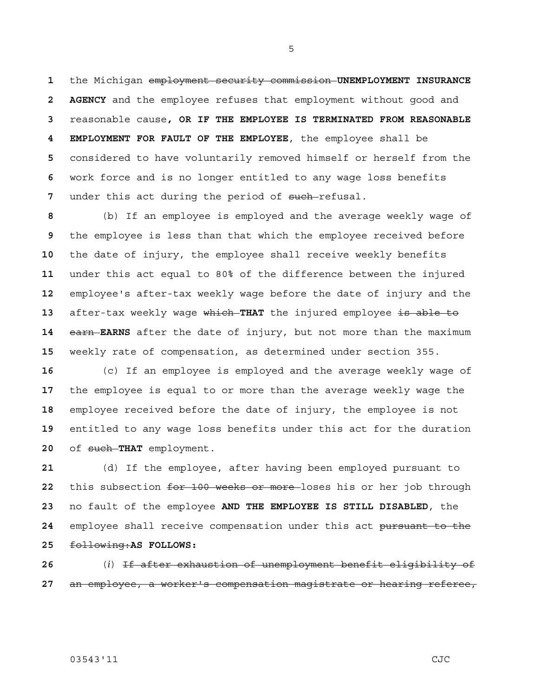the Michigan employment security commission **UNEMPLOYMENT INSURANCE 2 AGENCY** and the employee refuses that employment without good and reasonable cause**, OR IF THE EMPLOYEE IS TERMINATED FROM REASONABLE 4 EMPLOYMENT FOR FAULT OF THE EMPLOYEE**, the employee shall be considered to have voluntarily removed himself or herself from the work force and is no longer entitled to any wage loss benefits 7 under this act during the period of such-refusal.

(b) If an employee is employed and the average weekly wage of the employee is less than that which the employee received before the date of injury, the employee shall receive weekly benefits under this act equal to 80% of the difference between the injured employee's after-tax weekly wage before the date of injury and the after-tax weekly wage which **THAT** the injured employee is able to **earn EARNS** after the date of injury, but not more than the maximum weekly rate of compensation, as determined under section 355.

(c) If an employee is employed and the average weekly wage of the employee is equal to or more than the average weekly wage the employee received before the date of injury, the employee is not entitled to any wage loss benefits under this act for the duration of such **THAT** employment.

(d) If the employee, after having been employed pursuant to this subsection for 100 weeks or more loses his or her job through no fault of the employee **AND THE EMPLOYEE IS STILL DISABLED**, the employee shall receive compensation under this act pursuant to the following:**AS FOLLOWS:**

(*i*) If after exhaustion of unemployment benefit eligibility of an employee, a worker's compensation magistrate or hearing referee,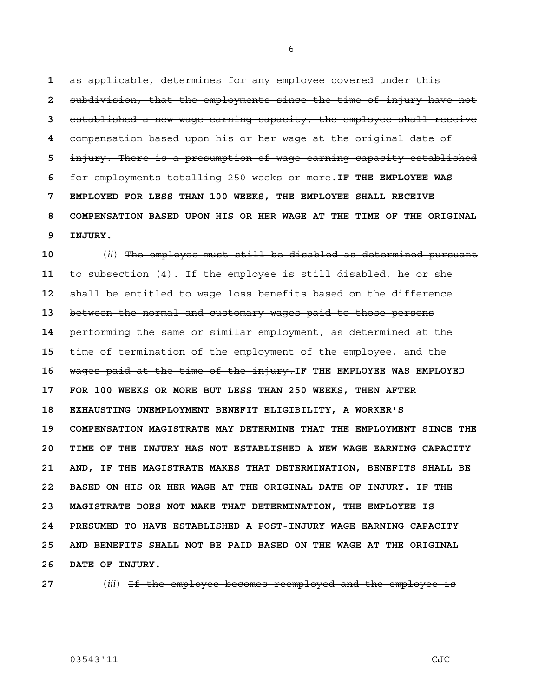as applicable, determines for any employee covered under this subdivision, that the employments since the time of injury have not established a new wage earning capacity, the employee shall receive compensation based upon his or her wage at the original date of injury. There is a presumption of wage earning capacity established for employments totalling 250 weeks or more.**IF THE EMPLOYEE WAS 7 EMPLOYED FOR LESS THAN 100 WEEKS, THE EMPLOYEE SHALL RECEIVE 8 COMPENSATION BASED UPON HIS OR HER WAGE AT THE TIME OF THE ORIGINAL 9 INJURY.** 

**10** (*ii*) The employee must still be disabled as determined pursuant **11** to subsection (4). If the employee is still disabled, he or she **12** shall be entitled to wage loss benefits based on the difference **13** between the normal and customary wages paid to those persons **14** performing the same or similar employment, as determined at the **15** time of termination of the employment of the employee, and the **16** wages paid at the time of the injury.**IF THE EMPLOYEE WAS EMPLOYED 17 FOR 100 WEEKS OR MORE BUT LESS THAN 250 WEEKS, THEN AFTER 18 EXHAUSTING UNEMPLOYMENT BENEFIT ELIGIBILITY, A WORKER'S 19 COMPENSATION MAGISTRATE MAY DETERMINE THAT THE EMPLOYMENT SINCE THE 20 TIME OF THE INJURY HAS NOT ESTABLISHED A NEW WAGE EARNING CAPACITY 21 AND, IF THE MAGISTRATE MAKES THAT DETERMINATION, BENEFITS SHALL BE 22 BASED ON HIS OR HER WAGE AT THE ORIGINAL DATE OF INJURY. IF THE 23 MAGISTRATE DOES NOT MAKE THAT DETERMINATION, THE EMPLOYEE IS 24 PRESUMED TO HAVE ESTABLISHED A POST-INJURY WAGE EARNING CAPACITY 25 AND BENEFITS SHALL NOT BE PAID BASED ON THE WAGE AT THE ORIGINAL 26 DATE OF INJURY.** 

**27** (*iii*) If the employee becomes reemployed and the employee is

## 03543'11 CJC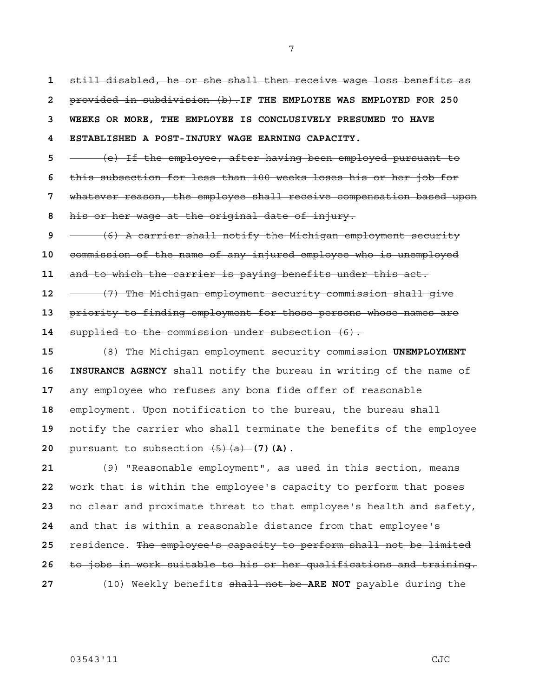still disabled, he or she shall then receive wage loss benefits as provided in subdivision (b).**IF THE EMPLOYEE WAS EMPLOYED FOR 250 3 WEEKS OR MORE, THE EMPLOYEE IS CONCLUSIVELY PRESUMED TO HAVE 4 ESTABLISHED A POST-INJURY WAGE EARNING CAPACITY.** (e) If the employee, after having been employed pursuant to this subsection for less than 100 weeks loses his or her job for whatever reason, the employee shall receive compensation based upon his or her wage at the original date of injury. (6) A carrier shall notify the Michigan employment security commission of the name of any injured employee who is unemployed and to which the carrier is paying benefits under this act. (7) The Michigan employment security commission shall give priority to finding employment for those persons whose names are supplied to the commission under subsection (6). (8) The Michigan employment security commission **UNEMPLOYMENT 16 INSURANCE AGENCY** shall notify the bureau in writing of the name of

any employee who refuses any bona fide offer of reasonable employment. Upon notification to the bureau, the bureau shall notify the carrier who shall terminate the benefits of the employee pursuant to subsection  $\overline{(5)(a)}$  (7) (A).

(9) "Reasonable employment", as used in this section, means work that is within the employee's capacity to perform that poses no clear and proximate threat to that employee's health and safety, and that is within a reasonable distance from that employee's residence. The employee's capacity to perform shall not be limited to jobs in work suitable to his or her qualifications and training. (10) Weekly benefits shall not be **ARE NOT** payable during the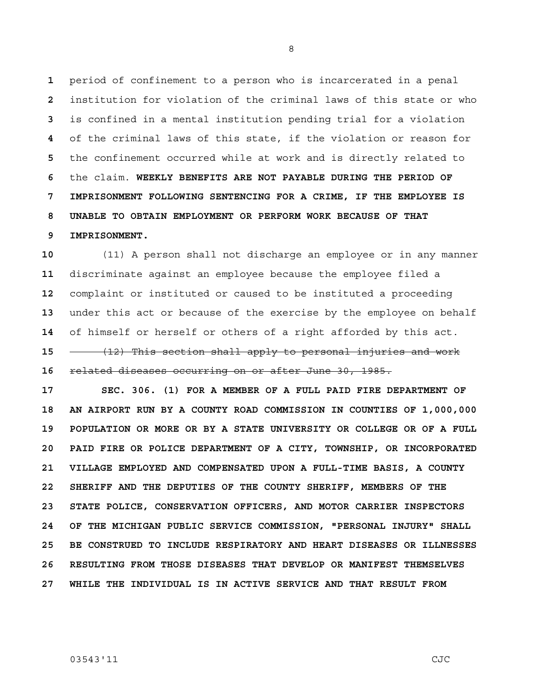period of confinement to a person who is incarcerated in a penal institution for violation of the criminal laws of this state or who is confined in a mental institution pending trial for a violation of the criminal laws of this state, if the violation or reason for the confinement occurred while at work and is directly related to the claim. **WEEKLY BENEFITS ARE NOT PAYABLE DURING THE PERIOD OF 7 IMPRISONMENT FOLLOWING SENTENCING FOR A CRIME, IF THE EMPLOYEE IS 8 UNABLE TO OBTAIN EMPLOYMENT OR PERFORM WORK BECAUSE OF THAT 9 IMPRISONMENT.**

(11) A person shall not discharge an employee or in any manner discriminate against an employee because the employee filed a complaint or instituted or caused to be instituted a proceeding under this act or because of the exercise by the employee on behalf of himself or herself or others of a right afforded by this act. (12) This section shall apply to personal injuries and work related diseases occurring on or after June 30, 1985.

**17 SEC. 306. (1) FOR A MEMBER OF A FULL PAID FIRE DEPARTMENT OF 18 AN AIRPORT RUN BY A COUNTY ROAD COMMISSION IN COUNTIES OF 1,000,000 19 POPULATION OR MORE OR BY A STATE UNIVERSITY OR COLLEGE OR OF A FULL 20 PAID FIRE OR POLICE DEPARTMENT OF A CITY, TOWNSHIP, OR INCORPORATED 21 VILLAGE EMPLOYED AND COMPENSATED UPON A FULL-TIME BASIS, A COUNTY 22 SHERIFF AND THE DEPUTIES OF THE COUNTY SHERIFF, MEMBERS OF THE 23 STATE POLICE, CONSERVATION OFFICERS, AND MOTOR CARRIER INSPECTORS 24 OF THE MICHIGAN PUBLIC SERVICE COMMISSION, "PERSONAL INJURY" SHALL 25 BE CONSTRUED TO INCLUDE RESPIRATORY AND HEART DISEASES OR ILLNESSES 26 RESULTING FROM THOSE DISEASES THAT DEVELOP OR MANIFEST THEMSELVES 27 WHILE THE INDIVIDUAL IS IN ACTIVE SERVICE AND THAT RESULT FROM**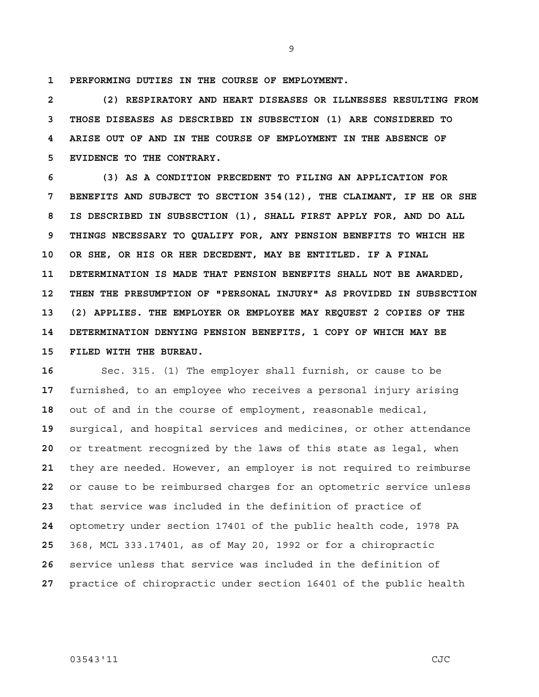**1 PERFORMING DUTIES IN THE COURSE OF EMPLOYMENT.**

**2 (2) RESPIRATORY AND HEART DISEASES OR ILLNESSES RESULTING FROM 3 THOSE DISEASES AS DESCRIBED IN SUBSECTION (1) ARE CONSIDERED TO 4 ARISE OUT OF AND IN THE COURSE OF EMPLOYMENT IN THE ABSENCE OF 5 EVIDENCE TO THE CONTRARY.** 

**6 (3) AS A CONDITION PRECEDENT TO FILING AN APPLICATION FOR 7 BENEFITS AND SUBJECT TO SECTION 354(12), THE CLAIMANT, IF HE OR SHE 8 IS DESCRIBED IN SUBSECTION (1), SHALL FIRST APPLY FOR, AND DO ALL 9 THINGS NECESSARY TO QUALIFY FOR, ANY PENSION BENEFITS TO WHICH HE 10 OR SHE, OR HIS OR HER DECEDENT, MAY BE ENTITLED. IF A FINAL 11 DETERMINATION IS MADE THAT PENSION BENEFITS SHALL NOT BE AWARDED, 12 THEN THE PRESUMPTION OF "PERSONAL INJURY" AS PROVIDED IN SUBSECTION 13 (2) APPLIES. THE EMPLOYER OR EMPLOYEE MAY REQUEST 2 COPIES OF THE 14 DETERMINATION DENYING PENSION BENEFITS, 1 COPY OF WHICH MAY BE 15 FILED WITH THE BUREAU.** 

Sec. 315. (1) The employer shall furnish, or cause to be furnished, to an employee who receives a personal injury arising out of and in the course of employment, reasonable medical, surgical, and hospital services and medicines, or other attendance or treatment recognized by the laws of this state as legal, when they are needed. However, an employer is not required to reimburse or cause to be reimbursed charges for an optometric service unless that service was included in the definition of practice of optometry under section 17401 of the public health code, 1978 PA 368, MCL 333.17401, as of May 20, 1992 or for a chiropractic service unless that service was included in the definition of practice of chiropractic under section 16401 of the public health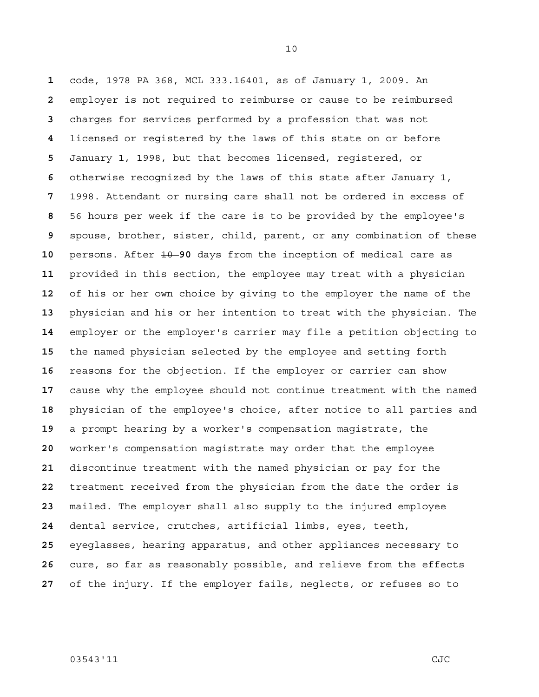code, 1978 PA 368, MCL 333.16401, as of January 1, 2009. An employer is not required to reimburse or cause to be reimbursed charges for services performed by a profession that was not licensed or registered by the laws of this state on or before January 1, 1998, but that becomes licensed, registered, or otherwise recognized by the laws of this state after January 1, 1998. Attendant or nursing care shall not be ordered in excess of 56 hours per week if the care is to be provided by the employee's spouse, brother, sister, child, parent, or any combination of these persons. After 10 **90** days from the inception of medical care as provided in this section, the employee may treat with a physician of his or her own choice by giving to the employer the name of the physician and his or her intention to treat with the physician. The employer or the employer's carrier may file a petition objecting to the named physician selected by the employee and setting forth reasons for the objection. If the employer or carrier can show cause why the employee should not continue treatment with the named physician of the employee's choice, after notice to all parties and a prompt hearing by a worker's compensation magistrate, the worker's compensation magistrate may order that the employee discontinue treatment with the named physician or pay for the treatment received from the physician from the date the order is mailed. The employer shall also supply to the injured employee dental service, crutches, artificial limbs, eyes, teeth, eyeglasses, hearing apparatus, and other appliances necessary to cure, so far as reasonably possible, and relieve from the effects of the injury. If the employer fails, neglects, or refuses so to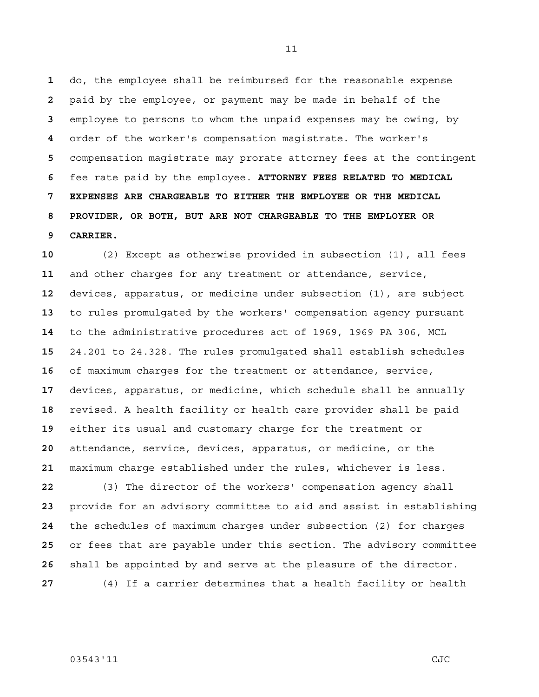do, the employee shall be reimbursed for the reasonable expense paid by the employee, or payment may be made in behalf of the employee to persons to whom the unpaid expenses may be owing, by order of the worker's compensation magistrate. The worker's compensation magistrate may prorate attorney fees at the contingent fee rate paid by the employee. **ATTORNEY FEES RELATED TO MEDICAL 7 EXPENSES ARE CHARGEABLE TO EITHER THE EMPLOYEE OR THE MEDICAL 8 PROVIDER, OR BOTH, BUT ARE NOT CHARGEABLE TO THE EMPLOYER OR 9 CARRIER.**

(2) Except as otherwise provided in subsection (1), all fees and other charges for any treatment or attendance, service, devices, apparatus, or medicine under subsection (1), are subject to rules promulgated by the workers' compensation agency pursuant to the administrative procedures act of 1969, 1969 PA 306, MCL 24.201 to 24.328. The rules promulgated shall establish schedules of maximum charges for the treatment or attendance, service, devices, apparatus, or medicine, which schedule shall be annually revised. A health facility or health care provider shall be paid either its usual and customary charge for the treatment or attendance, service, devices, apparatus, or medicine, or the maximum charge established under the rules, whichever is less.

(3) The director of the workers' compensation agency shall provide for an advisory committee to aid and assist in establishing the schedules of maximum charges under subsection (2) for charges or fees that are payable under this section. The advisory committee shall be appointed by and serve at the pleasure of the director. (4) If a carrier determines that a health facility or health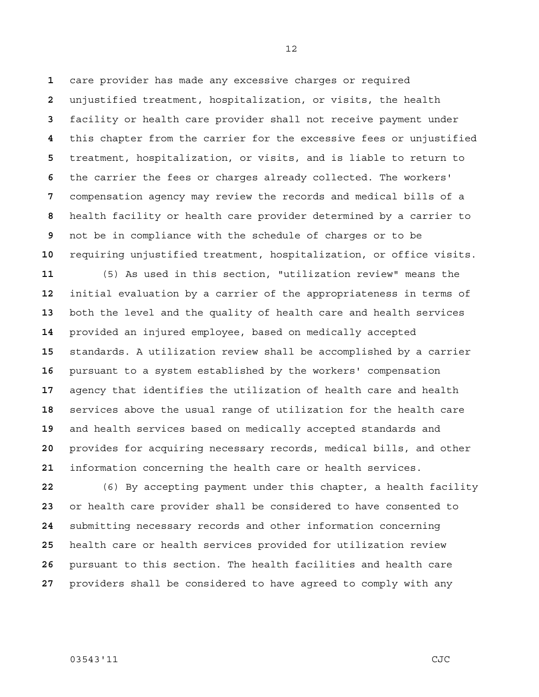care provider has made any excessive charges or required unjustified treatment, hospitalization, or visits, the health facility or health care provider shall not receive payment under this chapter from the carrier for the excessive fees or unjustified treatment, hospitalization, or visits, and is liable to return to the carrier the fees or charges already collected. The workers' compensation agency may review the records and medical bills of a health facility or health care provider determined by a carrier to not be in compliance with the schedule of charges or to be requiring unjustified treatment, hospitalization, or office visits. (5) As used in this section, "utilization review" means the initial evaluation by a carrier of the appropriateness in terms of both the level and the quality of health care and health services provided an injured employee, based on medically accepted standards. A utilization review shall be accomplished by a carrier pursuant to a system established by the workers' compensation agency that identifies the utilization of health care and health services above the usual range of utilization for the health care and health services based on medically accepted standards and provides for acquiring necessary records, medical bills, and other information concerning the health care or health services.

(6) By accepting payment under this chapter, a health facility or health care provider shall be considered to have consented to submitting necessary records and other information concerning health care or health services provided for utilization review pursuant to this section. The health facilities and health care providers shall be considered to have agreed to comply with any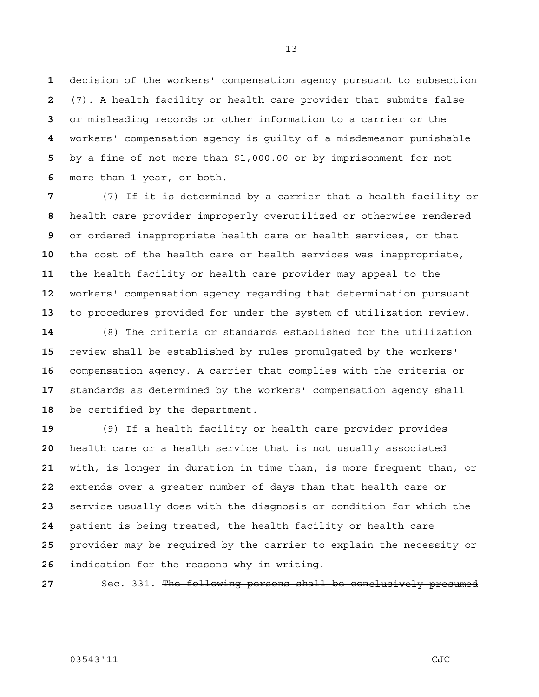decision of the workers' compensation agency pursuant to subsection (7). A health facility or health care provider that submits false or misleading records or other information to a carrier or the workers' compensation agency is guilty of a misdemeanor punishable by a fine of not more than \$1,000.00 or by imprisonment for not more than 1 year, or both.

(7) If it is determined by a carrier that a health facility or health care provider improperly overutilized or otherwise rendered or ordered inappropriate health care or health services, or that the cost of the health care or health services was inappropriate, the health facility or health care provider may appeal to the workers' compensation agency regarding that determination pursuant to procedures provided for under the system of utilization review.

(8) The criteria or standards established for the utilization review shall be established by rules promulgated by the workers' compensation agency. A carrier that complies with the criteria or standards as determined by the workers' compensation agency shall be certified by the department.

(9) If a health facility or health care provider provides health care or a health service that is not usually associated with, is longer in duration in time than, is more frequent than, or extends over a greater number of days than that health care or service usually does with the diagnosis or condition for which the patient is being treated, the health facility or health care provider may be required by the carrier to explain the necessity or indication for the reasons why in writing.

27 Sec. 331. The following persons shall be conclusively presumed

## 03543'11 CJC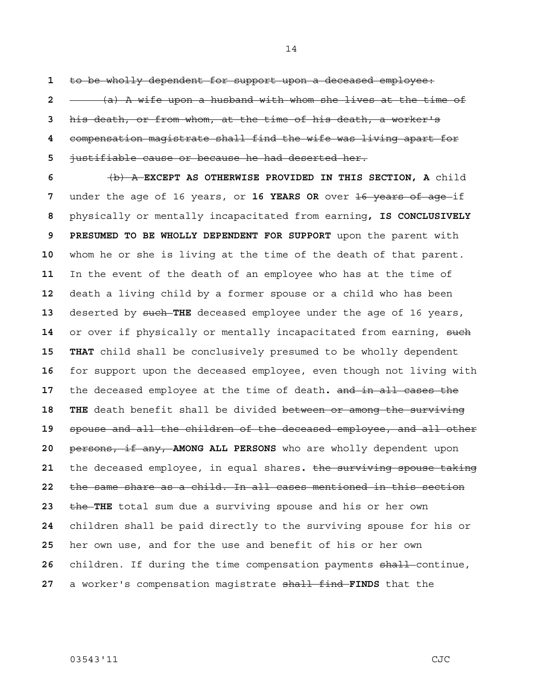to be wholly dependent for support upon a deceased employee: (a) A wife upon a husband with whom she lives at the time of his death, or from whom, at the time of his death, a worker's compensation magistrate shall find the wife was living apart for justifiable cause or because he had deserted her.

(b) A **EXCEPT AS OTHERWISE PROVIDED IN THIS SECTION, A** child under the age of 16 years, or **16 YEARS OR** over <del>16 years of age</del>-if physically or mentally incapacitated from earning**, IS CONCLUSIVELY 9 PRESUMED TO BE WHOLLY DEPENDENT FOR SUPPORT** upon the parent with whom he or she is living at the time of the death of that parent. In the event of the death of an employee who has at the time of death a living child by a former spouse or a child who has been deserted by such **THE** deceased employee under the age of 16 years, 14 or over if physically or mentally incapacitated from earning, such 15 THAT child shall be conclusively presumed to be wholly dependent for support upon the deceased employee, even though not living with the deceased employee at the time of death**.** and in all cases the 18 THE death benefit shall be divided between or among the surviving spouse and all the children of the deceased employee, and all other persons, if any, **AMONG ALL PERSONS** who are wholly dependent upon the deceased employee, in equal shares**.** the surviving spouse taking the same share as a child. In all cases mentioned in this section the **THE** total sum due a surviving spouse and his or her own children shall be paid directly to the surviving spouse for his or her own use, and for the use and benefit of his or her own children. If during the time compensation payments shall continue, a worker's compensation magistrate shall find **FINDS** that the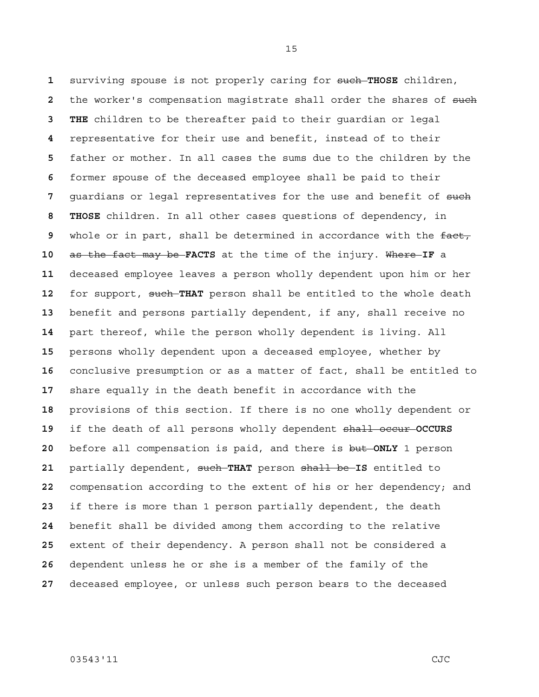surviving spouse is not properly caring for such **THOSE** children, the worker's compensation magistrate shall order the shares of such **3 THE** children to be thereafter paid to their guardian or legal representative for their use and benefit, instead of to their father or mother. In all cases the sums due to the children by the former spouse of the deceased employee shall be paid to their quardians or legal representatives for the use and benefit of such **8 THOSE** children. In all other cases questions of dependency, in whole or in part, shall be determined in accordance with the fact, as the fact may be **FACTS** at the time of the injury. Where **IF** a deceased employee leaves a person wholly dependent upon him or her 12 for support, such-THAT person shall be entitled to the whole death benefit and persons partially dependent, if any, shall receive no part thereof, while the person wholly dependent is living. All persons wholly dependent upon a deceased employee, whether by conclusive presumption or as a matter of fact, shall be entitled to share equally in the death benefit in accordance with the provisions of this section. If there is no one wholly dependent or if the death of all persons wholly dependent shall occur **OCCURS**  before all compensation is paid, and there is but **ONLY** 1 person partially dependent, such **THAT** person shall be **IS** entitled to compensation according to the extent of his or her dependency; and if there is more than 1 person partially dependent, the death benefit shall be divided among them according to the relative extent of their dependency. A person shall not be considered a dependent unless he or she is a member of the family of the deceased employee, or unless such person bears to the deceased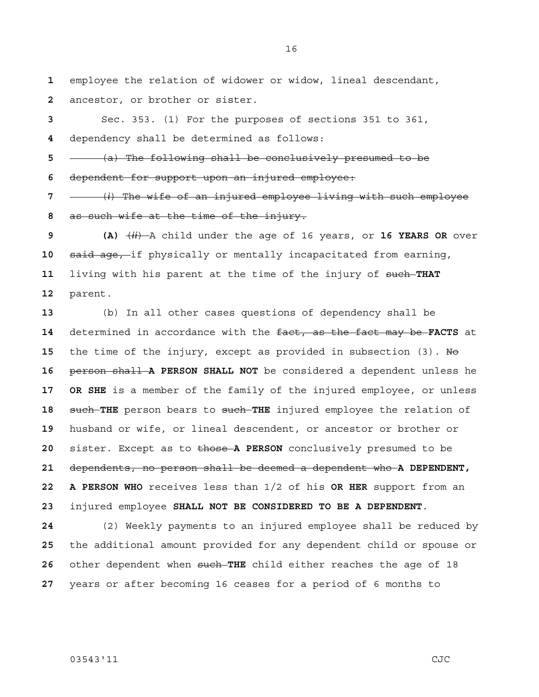employee the relation of widower or widow, lineal descendant, ancestor, or brother or sister.

Sec. 353. (1) For the purposes of sections 351 to 361, dependency shall be determined as follows:

(a) The following shall be conclusively presumed to be

dependent for support upon an injured employee:

(*i*) The wife of an injured employee living with such employee as such wife at the time of the injury.

**9 (A)** (*ii*) A child under the age of 16 years, or **16 YEARS OR** over said age, if physically or mentally incapacitated from earning, living with his parent at the time of the injury of such **THAT**  parent.

(b) In all other cases questions of dependency shall be determined in accordance with the fact, as the fact may be **FACTS** at 15 the time of the injury, except as provided in subsection (3). No person shall **A PERSON SHALL NOT** be considered a dependent unless he **17 OR SHE** is a member of the family of the injured employee, or unless such **THE** person bears to such **THE** injured employee the relation of husband or wife, or lineal descendent, or ancestor or brother or sister. Except as to those **A PERSON** conclusively presumed to be dependents, no person shall be deemed a dependent who **A DEPENDENT, 22 A PERSON WHO** receives less than 1/2 of his **OR HER** support from an injured employee **SHALL NOT BE CONSIDERED TO BE A DEPENDENT**.

(2) Weekly payments to an injured employee shall be reduced by the additional amount provided for any dependent child or spouse or other dependent when such **THE** child either reaches the age of 18 years or after becoming 16 ceases for a period of 6 months to

03543'11 CJC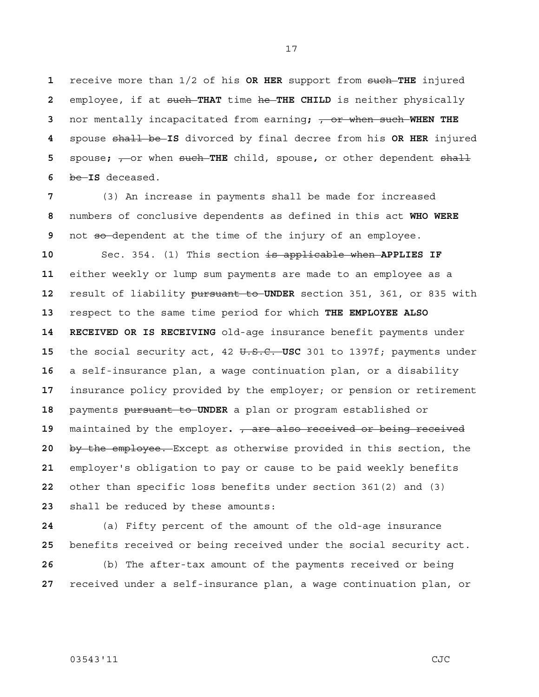receive more than 1/2 of his **OR HER** support from such **THE** injured employee, if at such **THAT** time he **THE CHILD** is neither physically nor mentally incapacitated from earning**;** , or when such **WHEN THE**  spouse shall be **IS** divorced by final decree from his **OR HER** injured spouse;  $\frac{1}{2}$  or when such THE child, spouse, or other dependent shall be **IS** deceased.

(3) An increase in payments shall be made for increased numbers of conclusive dependents as defined in this act **WHO WERE**  not so-dependent at the time of the injury of an employee.

Sec. 354. (1) This section is applicable when **APPLIES IF** either weekly or lump sum payments are made to an employee as a result of liability pursuant to **UNDER** section 351, 361, or 835 with respect to the same time period for which **THE EMPLOYEE ALSO 14 RECEIVED OR IS RECEIVING** old-age insurance benefit payments under the social security act, 42 U.S.C. **USC** 301 to 1397f; payments under a self-insurance plan, a wage continuation plan, or a disability insurance policy provided by the employer; or pension or retirement payments pursuant to **UNDER** a plan or program established or maintained by the employer**.** , are also received or being received by the employee. Except as otherwise provided in this section, the employer's obligation to pay or cause to be paid weekly benefits other than specific loss benefits under section 361(2) and (3) shall be reduced by these amounts:

(a) Fifty percent of the amount of the old-age insurance benefits received or being received under the social security act. (b) The after-tax amount of the payments received or being received under a self-insurance plan, a wage continuation plan, or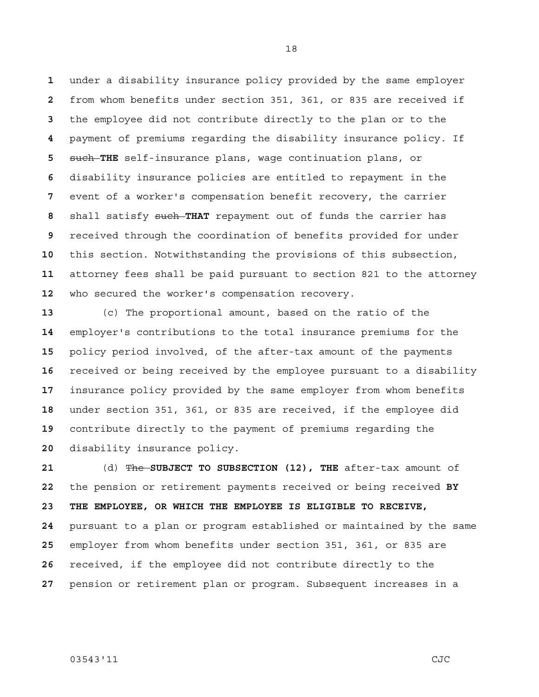under a disability insurance policy provided by the same employer from whom benefits under section 351, 361, or 835 are received if the employee did not contribute directly to the plan or to the payment of premiums regarding the disability insurance policy. If such **THE** self-insurance plans, wage continuation plans, or disability insurance policies are entitled to repayment in the event of a worker's compensation benefit recovery, the carrier shall satisfy such **THAT** repayment out of funds the carrier has received through the coordination of benefits provided for under this section. Notwithstanding the provisions of this subsection, attorney fees shall be paid pursuant to section 821 to the attorney who secured the worker's compensation recovery.

(c) The proportional amount, based on the ratio of the employer's contributions to the total insurance premiums for the policy period involved, of the after-tax amount of the payments received or being received by the employee pursuant to a disability insurance policy provided by the same employer from whom benefits under section 351, 361, or 835 are received, if the employee did contribute directly to the payment of premiums regarding the disability insurance policy.

(d) The **SUBJECT TO SUBSECTION (12), THE** after-tax amount of the pension or retirement payments received or being received **BY 23 THE EMPLOYEE, OR WHICH THE EMPLOYEE IS ELIGIBLE TO RECEIVE,**  pursuant to a plan or program established or maintained by the same employer from whom benefits under section 351, 361, or 835 are received, if the employee did not contribute directly to the pension or retirement plan or program. Subsequent increases in a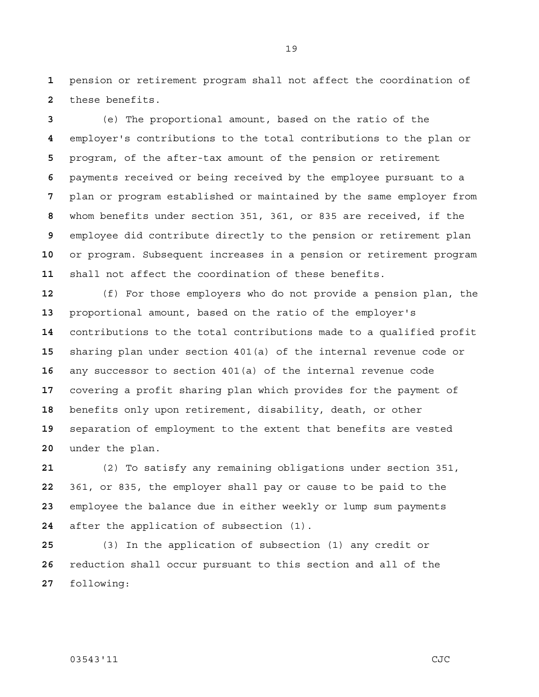pension or retirement program shall not affect the coordination of these benefits.

(e) The proportional amount, based on the ratio of the employer's contributions to the total contributions to the plan or program, of the after-tax amount of the pension or retirement payments received or being received by the employee pursuant to a plan or program established or maintained by the same employer from whom benefits under section 351, 361, or 835 are received, if the employee did contribute directly to the pension or retirement plan or program. Subsequent increases in a pension or retirement program shall not affect the coordination of these benefits.

(f) For those employers who do not provide a pension plan, the proportional amount, based on the ratio of the employer's contributions to the total contributions made to a qualified profit sharing plan under section 401(a) of the internal revenue code or any successor to section 401(a) of the internal revenue code covering a profit sharing plan which provides for the payment of benefits only upon retirement, disability, death, or other separation of employment to the extent that benefits are vested under the plan.

(2) To satisfy any remaining obligations under section 351, 361, or 835, the employer shall pay or cause to be paid to the employee the balance due in either weekly or lump sum payments after the application of subsection (1).

(3) In the application of subsection (1) any credit or reduction shall occur pursuant to this section and all of the following:

03543'11 CJC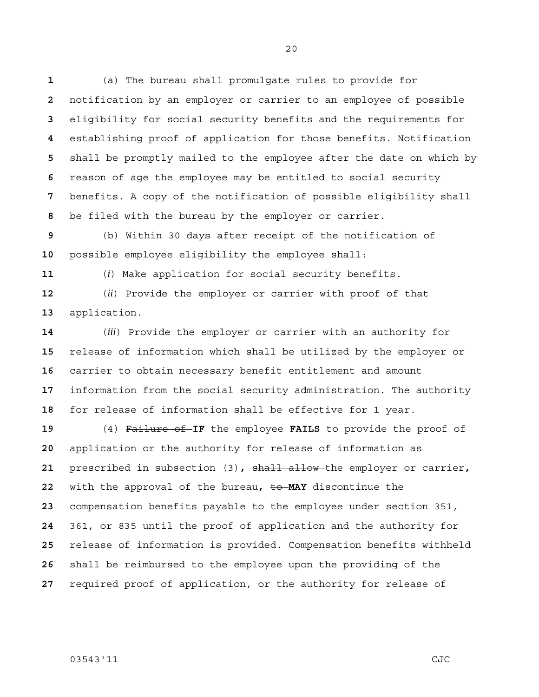(a) The bureau shall promulgate rules to provide for notification by an employer or carrier to an employee of possible eligibility for social security benefits and the requirements for establishing proof of application for those benefits. Notification shall be promptly mailed to the employee after the date on which by reason of age the employee may be entitled to social security benefits. A copy of the notification of possible eligibility shall be filed with the bureau by the employer or carrier.

(b) Within 30 days after receipt of the notification of possible employee eligibility the employee shall:

(*i*) Make application for social security benefits.

(*ii*) Provide the employer or carrier with proof of that application.

(*iii*) Provide the employer or carrier with an authority for release of information which shall be utilized by the employer or carrier to obtain necessary benefit entitlement and amount information from the social security administration. The authority for release of information shall be effective for 1 year.

(4) Failure of **IF** the employee **FAILS** to provide the proof of application or the authority for release of information as prescribed in subsection (3)**,** shall allow the employer or carrier**,** with the approval of the bureau**,** to **MAY** discontinue the compensation benefits payable to the employee under section 351, 361, or 835 until the proof of application and the authority for release of information is provided. Compensation benefits withheld shall be reimbursed to the employee upon the providing of the required proof of application, or the authority for release of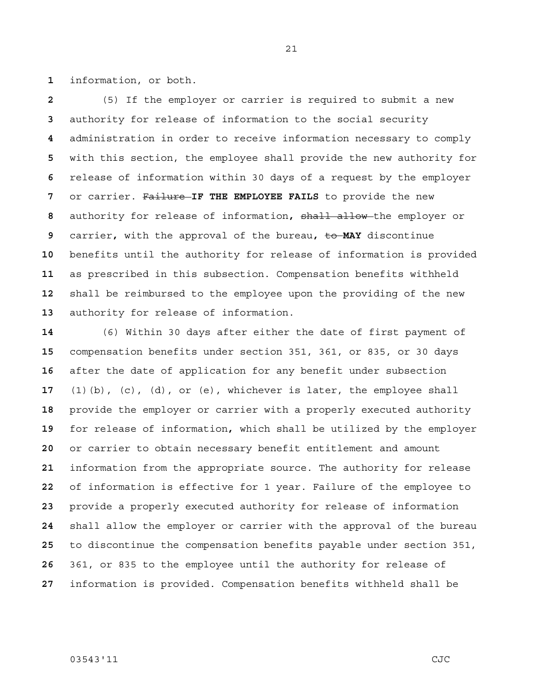information, or both.

(5) If the employer or carrier is required to submit a new authority for release of information to the social security administration in order to receive information necessary to comply with this section, the employee shall provide the new authority for release of information within 30 days of a request by the employer or carrier. Failure **IF THE EMPLOYEE FAILS** to provide the new authority for release of information**,** shall allow the employer or carrier**,** with the approval of the bureau**,** to **MAY** discontinue benefits until the authority for release of information is provided as prescribed in this subsection. Compensation benefits withheld shall be reimbursed to the employee upon the providing of the new authority for release of information.

(6) Within 30 days after either the date of first payment of compensation benefits under section 351, 361, or 835, or 30 days after the date of application for any benefit under subsection (1)(b), (c), (d), or (e), whichever is later, the employee shall provide the employer or carrier with a properly executed authority for release of information**,** which shall be utilized by the employer or carrier to obtain necessary benefit entitlement and amount information from the appropriate source. The authority for release of information is effective for 1 year. Failure of the employee to provide a properly executed authority for release of information shall allow the employer or carrier with the approval of the bureau to discontinue the compensation benefits payable under section 351, 361, or 835 to the employee until the authority for release of information is provided. Compensation benefits withheld shall be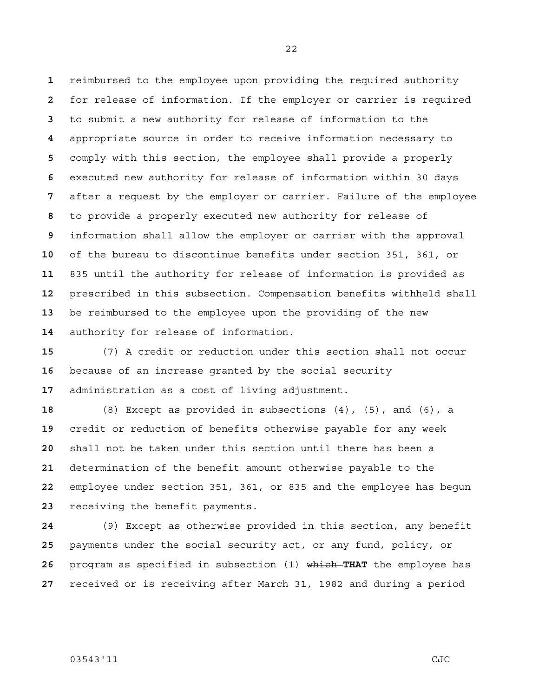reimbursed to the employee upon providing the required authority for release of information. If the employer or carrier is required to submit a new authority for release of information to the appropriate source in order to receive information necessary to comply with this section, the employee shall provide a properly executed new authority for release of information within 30 days after a request by the employer or carrier. Failure of the employee to provide a properly executed new authority for release of information shall allow the employer or carrier with the approval of the bureau to discontinue benefits under section 351, 361, or 835 until the authority for release of information is provided as prescribed in this subsection. Compensation benefits withheld shall be reimbursed to the employee upon the providing of the new authority for release of information.

(7) A credit or reduction under this section shall not occur because of an increase granted by the social security administration as a cost of living adjustment.

(8) Except as provided in subsections (4), (5), and (6), a credit or reduction of benefits otherwise payable for any week shall not be taken under this section until there has been a determination of the benefit amount otherwise payable to the employee under section 351, 361, or 835 and the employee has begun receiving the benefit payments.

(9) Except as otherwise provided in this section, any benefit payments under the social security act, or any fund, policy, or program as specified in subsection (1) which **THAT** the employee has received or is receiving after March 31, 1982 and during a period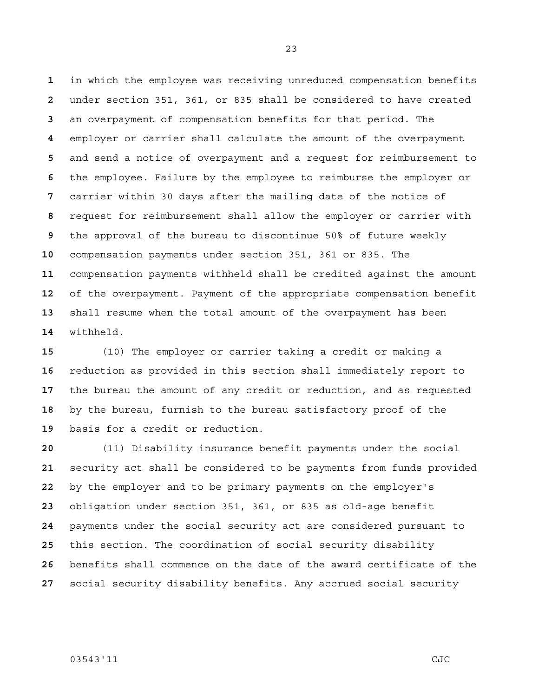in which the employee was receiving unreduced compensation benefits under section 351, 361, or 835 shall be considered to have created an overpayment of compensation benefits for that period. The employer or carrier shall calculate the amount of the overpayment and send a notice of overpayment and a request for reimbursement to the employee. Failure by the employee to reimburse the employer or carrier within 30 days after the mailing date of the notice of request for reimbursement shall allow the employer or carrier with the approval of the bureau to discontinue 50% of future weekly compensation payments under section 351, 361 or 835. The compensation payments withheld shall be credited against the amount of the overpayment. Payment of the appropriate compensation benefit shall resume when the total amount of the overpayment has been withheld.

(10) The employer or carrier taking a credit or making a reduction as provided in this section shall immediately report to the bureau the amount of any credit or reduction, and as requested by the bureau, furnish to the bureau satisfactory proof of the basis for a credit or reduction.

(11) Disability insurance benefit payments under the social security act shall be considered to be payments from funds provided by the employer and to be primary payments on the employer's obligation under section 351, 361, or 835 as old-age benefit payments under the social security act are considered pursuant to this section. The coordination of social security disability benefits shall commence on the date of the award certificate of the social security disability benefits. Any accrued social security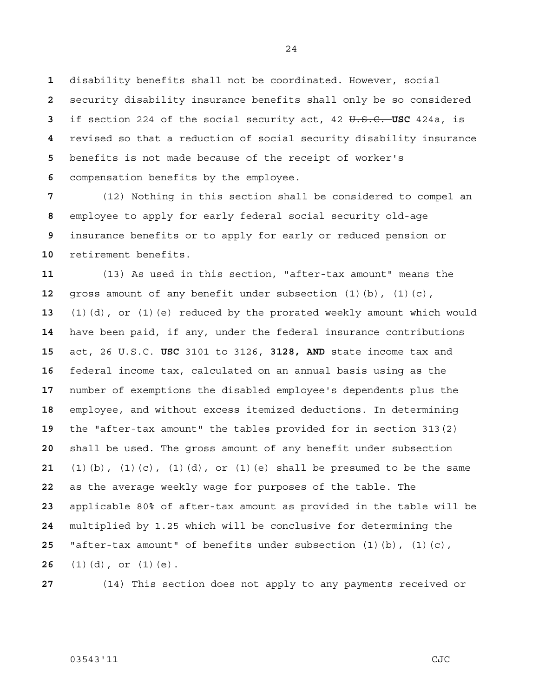disability benefits shall not be coordinated. However, social security disability insurance benefits shall only be so considered if section 224 of the social security act, 42 U.S.C. **USC** 424a, is revised so that a reduction of social security disability insurance benefits is not made because of the receipt of worker's compensation benefits by the employee.

(12) Nothing in this section shall be considered to compel an employee to apply for early federal social security old-age insurance benefits or to apply for early or reduced pension or retirement benefits.

(13) As used in this section, "after-tax amount" means the gross amount of any benefit under subsection (1)(b), (1)(c), (1)(d), or (1)(e) reduced by the prorated weekly amount which would have been paid, if any, under the federal insurance contributions act, 26 U.S.C. **USC** 3101 to 3126, **3128, AND** state income tax and federal income tax, calculated on an annual basis using as the number of exemptions the disabled employee's dependents plus the employee, and without excess itemized deductions. In determining the "after-tax amount" the tables provided for in section 313(2) shall be used. The gross amount of any benefit under subsection (1)(b), (1)(c), (1)(d), or (1)(e) shall be presumed to be the same as the average weekly wage for purposes of the table. The applicable 80% of after-tax amount as provided in the table will be multiplied by 1.25 which will be conclusive for determining the "after-tax amount" of benefits under subsection (1)(b), (1)(c), (1)(d), or (1)(e).

(14) This section does not apply to any payments received or

#### 03543'11 CJC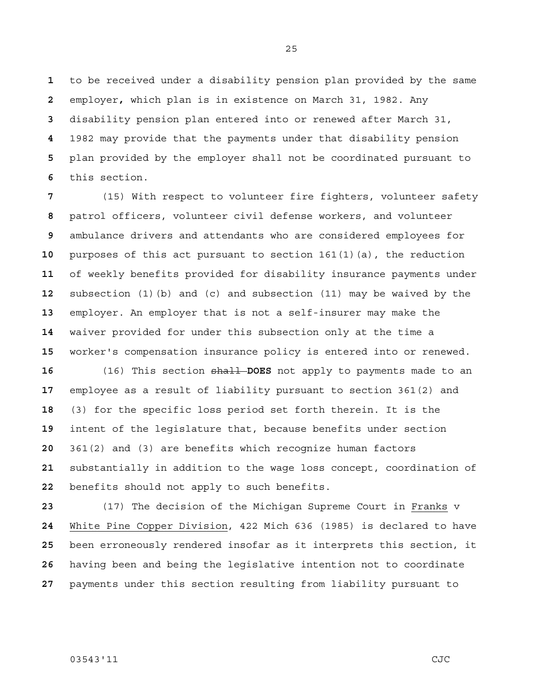to be received under a disability pension plan provided by the same employer**,** which plan is in existence on March 31, 1982. Any disability pension plan entered into or renewed after March 31, 1982 may provide that the payments under that disability pension plan provided by the employer shall not be coordinated pursuant to this section.

(15) With respect to volunteer fire fighters, volunteer safety patrol officers, volunteer civil defense workers, and volunteer ambulance drivers and attendants who are considered employees for purposes of this act pursuant to section 161(1)(a), the reduction of weekly benefits provided for disability insurance payments under subsection (1)(b) and (c) and subsection (11) may be waived by the employer. An employer that is not a self-insurer may make the waiver provided for under this subsection only at the time a worker's compensation insurance policy is entered into or renewed.

(16) This section shall **DOES** not apply to payments made to an employee as a result of liability pursuant to section 361(2) and (3) for the specific loss period set forth therein. It is the intent of the legislature that, because benefits under section 361(2) and (3) are benefits which recognize human factors substantially in addition to the wage loss concept, coordination of benefits should not apply to such benefits.

(17) The decision of the Michigan Supreme Court in Franks v White Pine Copper Division, 422 Mich 636 (1985) is declared to have been erroneously rendered insofar as it interprets this section, it having been and being the legislative intention not to coordinate payments under this section resulting from liability pursuant to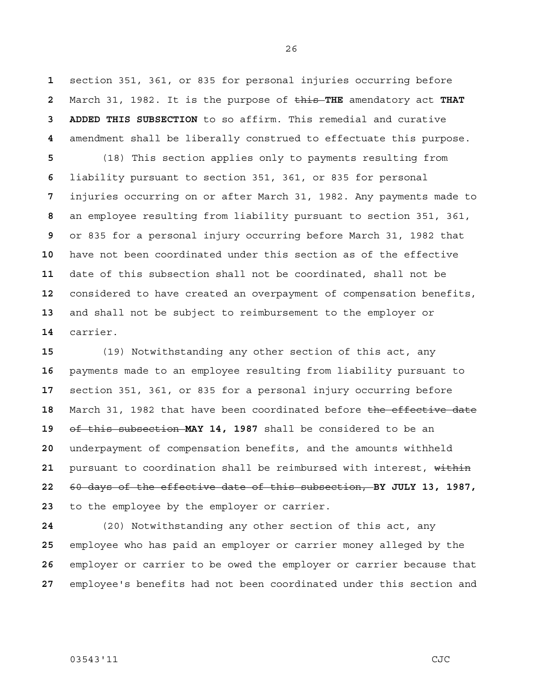section 351, 361, or 835 for personal injuries occurring before March 31, 1982. It is the purpose of this **THE** amendatory act **THAT 3 ADDED THIS SUBSECTION** to so affirm. This remedial and curative amendment shall be liberally construed to effectuate this purpose.

(18) This section applies only to payments resulting from liability pursuant to section 351, 361, or 835 for personal injuries occurring on or after March 31, 1982. Any payments made to an employee resulting from liability pursuant to section 351, 361, or 835 for a personal injury occurring before March 31, 1982 that have not been coordinated under this section as of the effective date of this subsection shall not be coordinated, shall not be considered to have created an overpayment of compensation benefits, and shall not be subject to reimbursement to the employer or carrier.

(19) Notwithstanding any other section of this act, any payments made to an employee resulting from liability pursuant to section 351, 361, or 835 for a personal injury occurring before March 31, 1982 that have been coordinated before the effective date of this subsection **MAY 14, 1987** shall be considered to be an underpayment of compensation benefits, and the amounts withheld 21 pursuant to coordination shall be reimbursed with interest, within 60 days of the effective date of this subsection, **BY JULY 13, 1987,**  to the employee by the employer or carrier.

(20) Notwithstanding any other section of this act, any employee who has paid an employer or carrier money alleged by the employer or carrier to be owed the employer or carrier because that employee's benefits had not been coordinated under this section and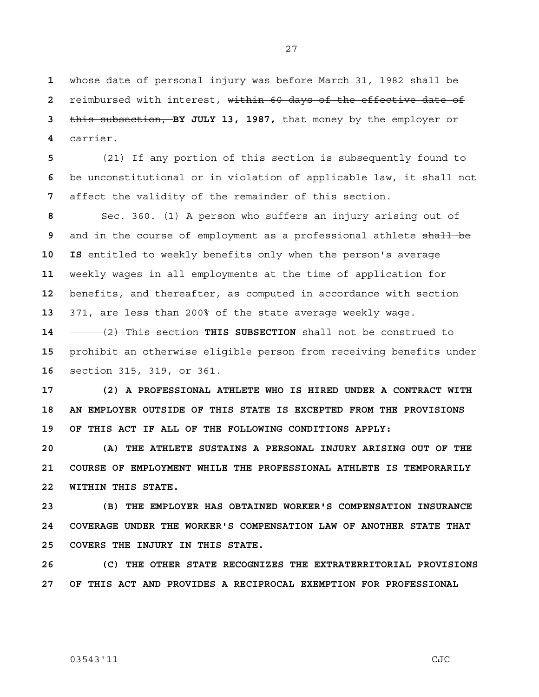whose date of personal injury was before March 31, 1982 shall be reimbursed with interest, within 60 days of the effective date of this subsection, **BY JULY 13, 1987,** that money by the employer or carrier.

**5** (21) If any portion of this section is subsequently found to **6** be unconstitutional or in violation of applicable law, it shall not **7** affect the validity of the remainder of this section.

Sec. 360. (1) A person who suffers an injury arising out of and in the course of employment as a professional athlete shall be **10 IS** entitled to weekly benefits only when the person's average weekly wages in all employments at the time of application for benefits, and thereafter, as computed in accordance with section 371, are less than 200% of the state average weekly wage.

**14** (2) This section **THIS SUBSECTION** shall not be construed to **15** prohibit an otherwise eligible person from receiving benefits under **16** section 315, 319, or 361.

**17 (2) A PROFESSIONAL ATHLETE WHO IS HIRED UNDER A CONTRACT WITH 18 AN EMPLOYER OUTSIDE OF THIS STATE IS EXCEPTED FROM THE PROVISIONS 19 OF THIS ACT IF ALL OF THE FOLLOWING CONDITIONS APPLY:** 

**20 (A) THE ATHLETE SUSTAINS A PERSONAL INJURY ARISING OUT OF THE 21 COURSE OF EMPLOYMENT WHILE THE PROFESSIONAL ATHLETE IS TEMPORARILY 22 WITHIN THIS STATE.** 

**23 (B) THE EMPLOYER HAS OBTAINED WORKER'S COMPENSATION INSURANCE 24 COVERAGE UNDER THE WORKER'S COMPENSATION LAW OF ANOTHER STATE THAT 25 COVERS THE INJURY IN THIS STATE.** 

**26 (C) THE OTHER STATE RECOGNIZES THE EXTRATERRITORIAL PROVISIONS 27 OF THIS ACT AND PROVIDES A RECIPROCAL EXEMPTION FOR PROFESSIONAL**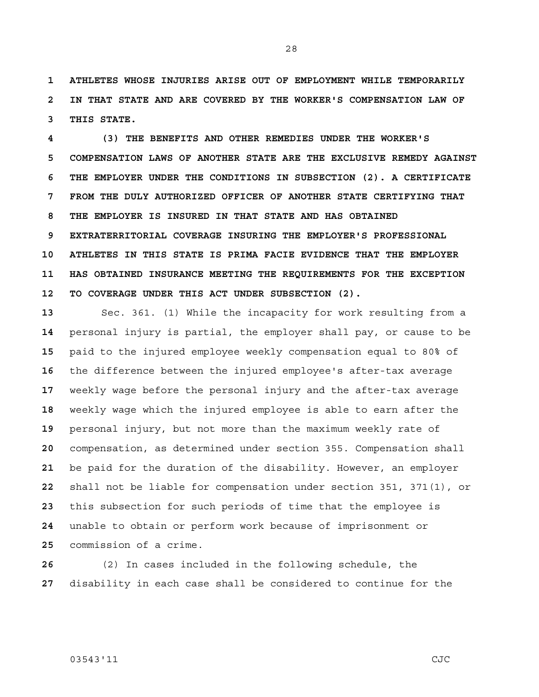**1 ATHLETES WHOSE INJURIES ARISE OUT OF EMPLOYMENT WHILE TEMPORARILY 2 IN THAT STATE AND ARE COVERED BY THE WORKER'S COMPENSATION LAW OF 3 THIS STATE.** 

**4 (3) THE BENEFITS AND OTHER REMEDIES UNDER THE WORKER'S 5 COMPENSATION LAWS OF ANOTHER STATE ARE THE EXCLUSIVE REMEDY AGAINST 6 THE EMPLOYER UNDER THE CONDITIONS IN SUBSECTION (2). A CERTIFICATE 7 FROM THE DULY AUTHORIZED OFFICER OF ANOTHER STATE CERTIFYING THAT 8 THE EMPLOYER IS INSURED IN THAT STATE AND HAS OBTAINED 9 EXTRATERRITORIAL COVERAGE INSURING THE EMPLOYER'S PROFESSIONAL 10 ATHLETES IN THIS STATE IS PRIMA FACIE EVIDENCE THAT THE EMPLOYER 11 HAS OBTAINED INSURANCE MEETING THE REQUIREMENTS FOR THE EXCEPTION 12 TO COVERAGE UNDER THIS ACT UNDER SUBSECTION (2).** 

Sec. 361. (1) While the incapacity for work resulting from a personal injury is partial, the employer shall pay, or cause to be paid to the injured employee weekly compensation equal to 80% of the difference between the injured employee's after-tax average weekly wage before the personal injury and the after-tax average weekly wage which the injured employee is able to earn after the personal injury, but not more than the maximum weekly rate of compensation, as determined under section 355. Compensation shall be paid for the duration of the disability. However, an employer shall not be liable for compensation under section 351, 371(1), or this subsection for such periods of time that the employee is unable to obtain or perform work because of imprisonment or commission of a crime.

**26** (2) In cases included in the following schedule, the **27** disability in each case shall be considered to continue for the

## 03543'11 CJC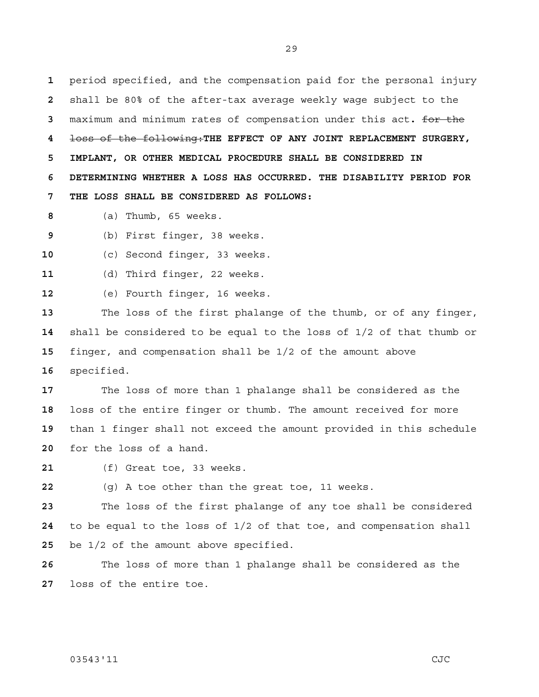period specified, and the compensation paid for the personal injury shall be 80% of the after-tax average weekly wage subject to the maximum and minimum rates of compensation under this act**.** for the loss of the following:**THE EFFECT OF ANY JOINT REPLACEMENT SURGERY, 5 IMPLANT, OR OTHER MEDICAL PROCEDURE SHALL BE CONSIDERED IN 6 DETERMINING WHETHER A LOSS HAS OCCURRED. THE DISABILITY PERIOD FOR 7 THE LOSS SHALL BE CONSIDERED AS FOLLOWS:**

(a) Thumb, 65 weeks.

(b) First finger, 38 weeks.

(c) Second finger, 33 weeks.

(d) Third finger, 22 weeks.

(e) Fourth finger, 16 weeks.

The loss of the first phalange of the thumb, or of any finger, shall be considered to be equal to the loss of 1/2 of that thumb or finger, and compensation shall be 1/2 of the amount above specified.

The loss of more than 1 phalange shall be considered as the loss of the entire finger or thumb. The amount received for more than 1 finger shall not exceed the amount provided in this schedule for the loss of a hand.

(f) Great toe, 33 weeks.

(g) A toe other than the great toe, 11 weeks.

The loss of the first phalange of any toe shall be considered to be equal to the loss of 1/2 of that toe, and compensation shall be 1/2 of the amount above specified.

The loss of more than 1 phalange shall be considered as the loss of the entire toe.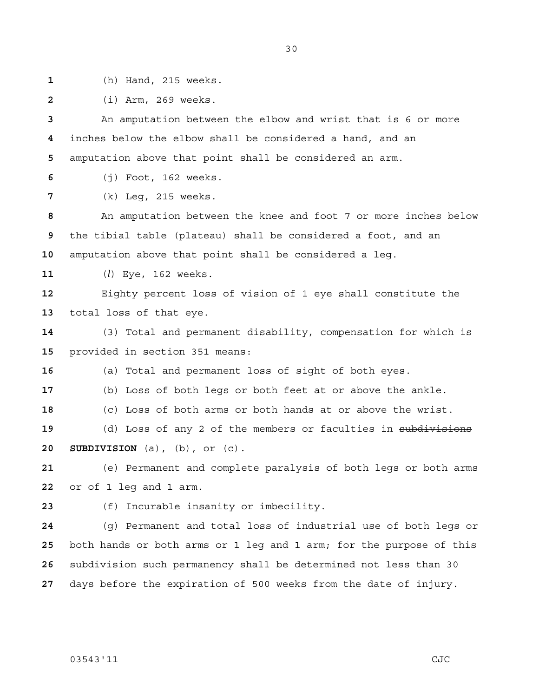- 
- (h) Hand, 215 weeks.
- (i) Arm, 269 weeks.

An amputation between the elbow and wrist that is 6 or more inches below the elbow shall be considered a hand, and an amputation above that point shall be considered an arm.

(j) Foot, 162 weeks.

(k) Leg, 215 weeks.

An amputation between the knee and foot 7 or more inches below the tibial table (plateau) shall be considered a foot, and an amputation above that point shall be considered a leg.

(*l*) Eye, 162 weeks.

Eighty percent loss of vision of 1 eye shall constitute the total loss of that eye.

(3) Total and permanent disability, compensation for which is provided in section 351 means:

(a) Total and permanent loss of sight of both eyes.

(b) Loss of both legs or both feet at or above the ankle.

(c) Loss of both arms or both hands at or above the wrist.

19 (d) Loss of any 2 of the members or faculties in subdivisions **20 SUBDIVISION** (a), (b), or (c).

(e) Permanent and complete paralysis of both legs or both arms or of 1 leg and 1 arm.

(f) Incurable insanity or imbecility.

(g) Permanent and total loss of industrial use of both legs or both hands or both arms or 1 leg and 1 arm; for the purpose of this subdivision such permanency shall be determined not less than 30 days before the expiration of 500 weeks from the date of injury.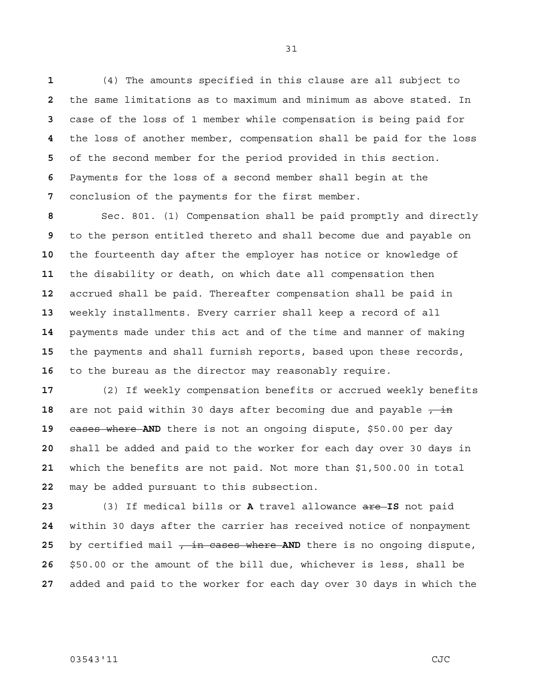(4) The amounts specified in this clause are all subject to the same limitations as to maximum and minimum as above stated. In case of the loss of 1 member while compensation is being paid for the loss of another member, compensation shall be paid for the loss of the second member for the period provided in this section. Payments for the loss of a second member shall begin at the conclusion of the payments for the first member.

Sec. 801. (1) Compensation shall be paid promptly and directly to the person entitled thereto and shall become due and payable on the fourteenth day after the employer has notice or knowledge of the disability or death, on which date all compensation then accrued shall be paid. Thereafter compensation shall be paid in weekly installments. Every carrier shall keep a record of all payments made under this act and of the time and manner of making the payments and shall furnish reports, based upon these records, to the bureau as the director may reasonably require.

(2) If weekly compensation benefits or accrued weekly benefits 18 are not paid within 30 days after becoming due and payable  $\frac{1}{7}$  in cases where **AND** there is not an ongoing dispute, \$50.00 per day shall be added and paid to the worker for each day over 30 days in which the benefits are not paid. Not more than \$1,500.00 in total may be added pursuant to this subsection.

(3) If medical bills or **A** travel allowance are **IS** not paid within 30 days after the carrier has received notice of nonpayment 25 by certified mail  $\frac{1}{r}$  in cases where AND there is no ongoing dispute, \$50.00 or the amount of the bill due, whichever is less, shall be added and paid to the worker for each day over 30 days in which the